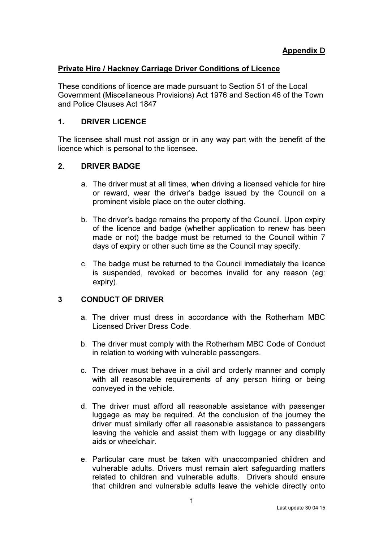### Private Hire / Hackney Carriage Driver Conditions of Licence

These conditions of licence are made pursuant to Section 51 of the Local Government (Miscellaneous Provisions) Act 1976 and Section 46 of the Town and Police Clauses Act 1847

# 1. DRIVER LICENCE

The licensee shall must not assign or in any way part with the benefit of the licence which is personal to the licensee.

# 2. DRIVER BADGE

- a. The driver must at all times, when driving a licensed vehicle for hire or reward, wear the driver's badge issued by the Council on a prominent visible place on the outer clothing.
- b. The driver's badge remains the property of the Council. Upon expiry of the licence and badge (whether application to renew has been made or not) the badge must be returned to the Council within 7 days of expiry or other such time as the Council may specify.
- c. The badge must be returned to the Council immediately the licence is suspended, revoked or becomes invalid for any reason (eg: expiry).

# 3 CONDUCT OF DRIVER

- a. The driver must dress in accordance with the Rotherham MBC Licensed Driver Dress Code.
- b. The driver must comply with the Rotherham MBC Code of Conduct in relation to working with vulnerable passengers.
- c. The driver must behave in a civil and orderly manner and comply with all reasonable requirements of any person hiring or being conveyed in the vehicle.
- d. The driver must afford all reasonable assistance with passenger luggage as may be required. At the conclusion of the journey the driver must similarly offer all reasonable assistance to passengers leaving the vehicle and assist them with luggage or any disability aids or wheelchair.
- e. Particular care must be taken with unaccompanied children and vulnerable adults. Drivers must remain alert safeguarding matters related to children and vulnerable adults. Drivers should ensure that children and vulnerable adults leave the vehicle directly onto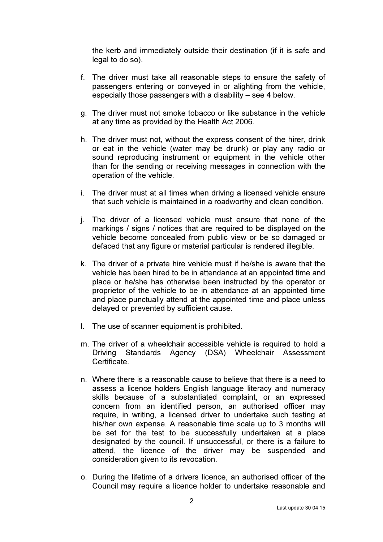the kerb and immediately outside their destination (if it is safe and legal to do so).

- f. The driver must take all reasonable steps to ensure the safety of passengers entering or conveyed in or alighting from the vehicle, especially those passengers with a disability – see 4 below.
- g. The driver must not smoke tobacco or like substance in the vehicle at any time as provided by the Health Act 2006.
- h. The driver must not, without the express consent of the hirer, drink or eat in the vehicle (water may be drunk) or play any radio or sound reproducing instrument or equipment in the vehicle other than for the sending or receiving messages in connection with the operation of the vehicle.
- i. The driver must at all times when driving a licensed vehicle ensure that such vehicle is maintained in a roadworthy and clean condition.
- j. The driver of a licensed vehicle must ensure that none of the markings / signs / notices that are required to be displayed on the vehicle become concealed from public view or be so damaged or defaced that any figure or material particular is rendered illegible.
- k. The driver of a private hire vehicle must if he/she is aware that the vehicle has been hired to be in attendance at an appointed time and place or he/she has otherwise been instructed by the operator or proprietor of the vehicle to be in attendance at an appointed time and place punctually attend at the appointed time and place unless delayed or prevented by sufficient cause.
- l. The use of scanner equipment is prohibited.
- m. The driver of a wheelchair accessible vehicle is required to hold a Driving Standards Agency (DSA) Wheelchair Assessment **Certificate**
- n. Where there is a reasonable cause to believe that there is a need to assess a licence holders English language literacy and numeracy skills because of a substantiated complaint, or an expressed concern from an identified person, an authorised officer may require, in writing, a licensed driver to undertake such testing at his/her own expense. A reasonable time scale up to 3 months will be set for the test to be successfully undertaken at a place designated by the council. If unsuccessful, or there is a failure to attend, the licence of the driver may be suspended and consideration given to its revocation.
- o. During the lifetime of a drivers licence, an authorised officer of the Council may require a licence holder to undertake reasonable and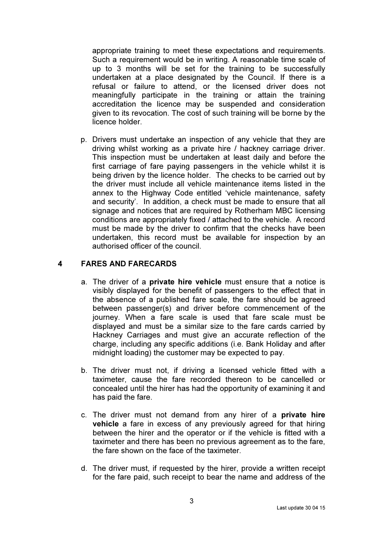appropriate training to meet these expectations and requirements. Such a requirement would be in writing. A reasonable time scale of up to 3 months will be set for the training to be successfully undertaken at a place designated by the Council. If there is a refusal or failure to attend, or the licensed driver does not meaningfully participate in the training or attain the training accreditation the licence may be suspended and consideration given to its revocation. The cost of such training will be borne by the licence holder.

p. Drivers must undertake an inspection of any vehicle that they are driving whilst working as a private hire / hackney carriage driver. This inspection must be undertaken at least daily and before the first carriage of fare paying passengers in the vehicle whilst it is being driven by the licence holder. The checks to be carried out by the driver must include all vehicle maintenance items listed in the annex to the Highway Code entitled 'vehicle maintenance, safety and security'. In addition, a check must be made to ensure that all signage and notices that are required by Rotherham MBC licensing conditions are appropriately fixed / attached to the vehicle. A record must be made by the driver to confirm that the checks have been undertaken, this record must be available for inspection by an authorised officer of the council.

# 4 FARES AND FARECARDS

- a. The driver of a private hire vehicle must ensure that a notice is visibly displayed for the benefit of passengers to the effect that in the absence of a published fare scale, the fare should be agreed between passenger(s) and driver before commencement of the journey. When a fare scale is used that fare scale must be displayed and must be a similar size to the fare cards carried by Hackney Carriages and must give an accurate reflection of the charge, including any specific additions (i.e. Bank Holiday and after midnight loading) the customer may be expected to pay.
- b. The driver must not, if driving a licensed vehicle fitted with a taximeter, cause the fare recorded thereon to be cancelled or concealed until the hirer has had the opportunity of examining it and has paid the fare.
- c. The driver must not demand from any hirer of a private hire vehicle a fare in excess of any previously agreed for that hiring between the hirer and the operator or if the vehicle is fitted with a taximeter and there has been no previous agreement as to the fare, the fare shown on the face of the taximeter.
- d. The driver must, if requested by the hirer, provide a written receipt for the fare paid, such receipt to bear the name and address of the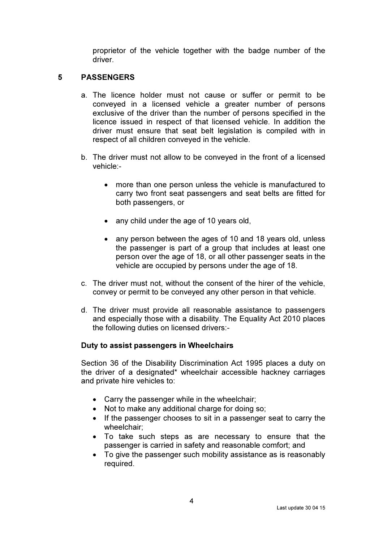proprietor of the vehicle together with the badge number of the driver.

# 5 PASSENGERS

- a. The licence holder must not cause or suffer or permit to be conveyed in a licensed vehicle a greater number of persons exclusive of the driver than the number of persons specified in the licence issued in respect of that licensed vehicle. In addition the driver must ensure that seat belt legislation is compiled with in respect of all children conveyed in the vehicle.
- b. The driver must not allow to be conveyed in the front of a licensed vehicle:-
	- more than one person unless the vehicle is manufactured to carry two front seat passengers and seat belts are fitted for both passengers, or
	- any child under the age of 10 years old,
	- any person between the ages of 10 and 18 years old, unless the passenger is part of a group that includes at least one person over the age of 18, or all other passenger seats in the vehicle are occupied by persons under the age of 18.
- c. The driver must not, without the consent of the hirer of the vehicle, convey or permit to be conveyed any other person in that vehicle.
- d. The driver must provide all reasonable assistance to passengers and especially those with a disability. The Equality Act 2010 places the following duties on licensed drivers:-

### Duty to assist passengers in Wheelchairs

Section 36 of the Disability Discrimination Act 1995 places a duty on the driver of a designated\* wheelchair accessible hackney carriages and private hire vehicles to:

- Carry the passenger while in the wheelchair;
- Not to make any additional charge for doing so;
- If the passenger chooses to sit in a passenger seat to carry the wheelchair;
- To take such steps as are necessary to ensure that the passenger is carried in safety and reasonable comfort; and
- To give the passenger such mobility assistance as is reasonably required.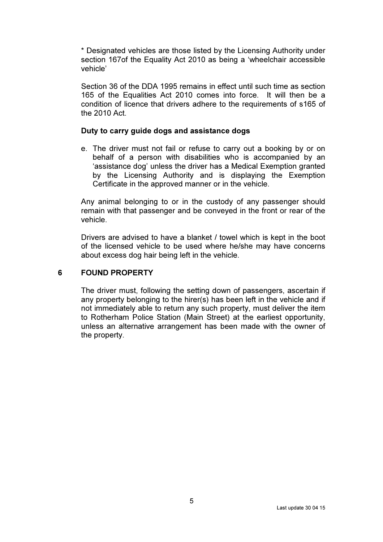\* Designated vehicles are those listed by the Licensing Authority under section 167of the Equality Act 2010 as being a 'wheelchair accessible vehicle'

Section 36 of the DDA 1995 remains in effect until such time as section 165 of the Equalities Act 2010 comes into force. It will then be a condition of licence that drivers adhere to the requirements of s165 of the 2010 Act.

#### Duty to carry guide dogs and assistance dogs

e. The driver must not fail or refuse to carry out a booking by or on behalf of a person with disabilities who is accompanied by an 'assistance dog' unless the driver has a Medical Exemption granted by the Licensing Authority and is displaying the Exemption Certificate in the approved manner or in the vehicle.

Any animal belonging to or in the custody of any passenger should remain with that passenger and be conveyed in the front or rear of the vehicle.

Drivers are advised to have a blanket / towel which is kept in the boot of the licensed vehicle to be used where he/she may have concerns about excess dog hair being left in the vehicle.

### 6 FOUND PROPERTY

The driver must, following the setting down of passengers, ascertain if any property belonging to the hirer(s) has been left in the vehicle and if not immediately able to return any such property, must deliver the item to Rotherham Police Station (Main Street) at the earliest opportunity, unless an alternative arrangement has been made with the owner of the property.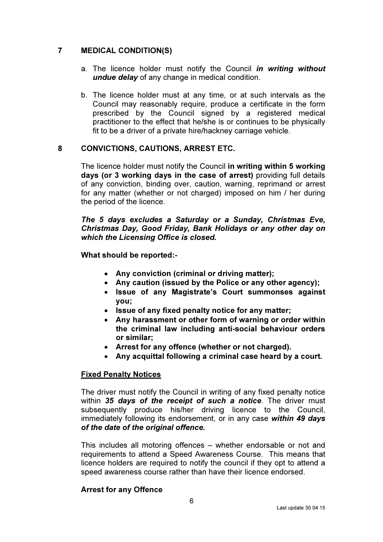# 7 MEDICAL CONDITION(S)

- a. The licence holder must notify the Council in writing without undue delay of any change in medical condition.
- b. The licence holder must at any time, or at such intervals as the Council may reasonably require, produce a certificate in the form prescribed by the Council signed by a registered medical practitioner to the effect that he/she is or continues to be physically fit to be a driver of a private hire/hackney carriage vehicle.

### 8 CONVICTIONS, CAUTIONS, ARREST ETC.

The licence holder must notify the Council in writing within 5 working days (or 3 working days in the case of arrest) providing full details of any conviction, binding over, caution, warning, reprimand or arrest for any matter (whether or not charged) imposed on him / her during the period of the licence.

The 5 days excludes a Saturday or a Sunday, Christmas Eve, Christmas Day, Good Friday, Bank Holidays or any other day on which the Licensing Office is closed.

What should be reported:-

- Any conviction (criminal or driving matter);
- Any caution (issued by the Police or any other agency);
- Issue of any Magistrate's Court summonses against you;
- Issue of any fixed penalty notice for any matter;
- Any harassment or other form of warning or order within the criminal law including anti-social behaviour orders or similar;
- Arrest for any offence (whether or not charged).
- Any acquittal following a criminal case heard by a court.

#### Fixed Penalty Notices

The driver must notify the Council in writing of any fixed penalty notice within 35 days of the receipt of such a notice. The driver must subsequently produce his/her driving licence to the Council, immediately following its endorsement, or in any case within 49 days of the date of the original offence.

This includes all motoring offences – whether endorsable or not and requirements to attend a Speed Awareness Course. This means that licence holders are required to notify the council if they opt to attend a speed awareness course rather than have their licence endorsed.

#### Arrest for any Offence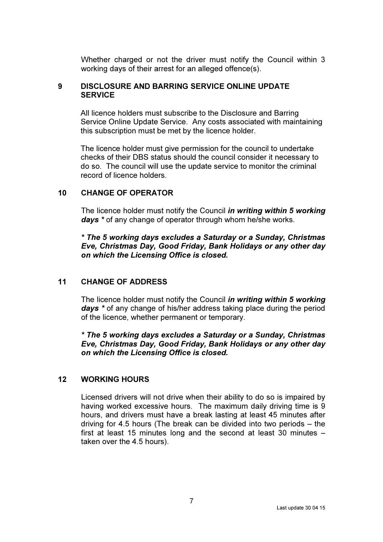Whether charged or not the driver must notify the Council within 3 working days of their arrest for an alleged offence(s).

### 9 DISCLOSURE AND BARRING SERVICE ONLINE UPDATE **SERVICE**

All licence holders must subscribe to the Disclosure and Barring Service Online Update Service. Any costs associated with maintaining this subscription must be met by the licence holder.

The licence holder must give permission for the council to undertake checks of their DBS status should the council consider it necessary to do so. The council will use the update service to monitor the criminal record of licence holders.

#### 10 CHANGE OF OPERATOR

The licence holder must notify the Council in writing within 5 working days \* of any change of operator through whom he/she works.

\* The 5 working days excludes a Saturday or a Sunday, Christmas Eve, Christmas Day, Good Friday, Bank Holidays or any other day on which the Licensing Office is closed.

### 11 CHANGE OF ADDRESS

The licence holder must notify the Council in writing within 5 working days \* of any change of his/her address taking place during the period of the licence, whether permanent or temporary.

\* The 5 working days excludes a Saturday or a Sunday, Christmas Eve, Christmas Day, Good Friday, Bank Holidays or any other day on which the Licensing Office is closed.

### 12 WORKING HOURS

Licensed drivers will not drive when their ability to do so is impaired by having worked excessive hours. The maximum daily driving time is 9 hours, and drivers must have a break lasting at least 45 minutes after driving for 4.5 hours (The break can be divided into two periods – the first at least 15 minutes long and the second at least 30 minutes – taken over the 4.5 hours).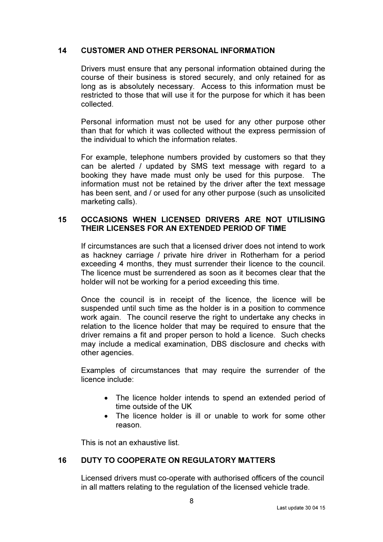### 14 CUSTOMER AND OTHER PERSONAL INFORMATION

Drivers must ensure that any personal information obtained during the course of their business is stored securely, and only retained for as long as is absolutely necessary. Access to this information must be restricted to those that will use it for the purpose for which it has been collected.

Personal information must not be used for any other purpose other than that for which it was collected without the express permission of the individual to which the information relates.

For example, telephone numbers provided by customers so that they can be alerted / updated by SMS text message with regard to a booking they have made must only be used for this purpose. The information must not be retained by the driver after the text message has been sent, and / or used for any other purpose (such as unsolicited marketing calls).

# 15 OCCASIONS WHEN LICENSED DRIVERS ARE NOT UTILISING THEIR LICENSES FOR AN EXTENDED PERIOD OF TIME

 If circumstances are such that a licensed driver does not intend to work as hackney carriage / private hire driver in Rotherham for a period exceeding 4 months, they must surrender their licence to the council. The licence must be surrendered as soon as it becomes clear that the holder will not be working for a period exceeding this time.

Once the council is in receipt of the licence, the licence will be suspended until such time as the holder is in a position to commence work again. The council reserve the right to undertake any checks in relation to the licence holder that may be required to ensure that the driver remains a fit and proper person to hold a licence. Such checks may include a medical examination, DBS disclosure and checks with other agencies.

Examples of circumstances that may require the surrender of the licence include:

- The licence holder intends to spend an extended period of time outside of the UK
- The licence holder is ill or unable to work for some other reason.

This is not an exhaustive list.

# 16 DUTY TO COOPERATE ON REGULATORY MATTERS

Licensed drivers must co-operate with authorised officers of the council in all matters relating to the regulation of the licensed vehicle trade.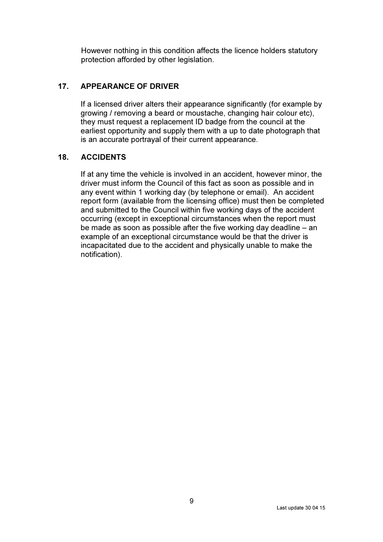However nothing in this condition affects the licence holders statutory protection afforded by other legislation.

# 17. APPEARANCE OF DRIVER

If a licensed driver alters their appearance significantly (for example by growing / removing a beard or moustache, changing hair colour etc), they must request a replacement ID badge from the council at the earliest opportunity and supply them with a up to date photograph that is an accurate portrayal of their current appearance.

# 18. ACCIDENTS

If at any time the vehicle is involved in an accident, however minor, the driver must inform the Council of this fact as soon as possible and in any event within 1 working day (by telephone or email). An accident report form (available from the licensing office) must then be completed and submitted to the Council within five working days of the accident occurring (except in exceptional circumstances when the report must be made as soon as possible after the five working day deadline – an example of an exceptional circumstance would be that the driver is incapacitated due to the accident and physically unable to make the notification).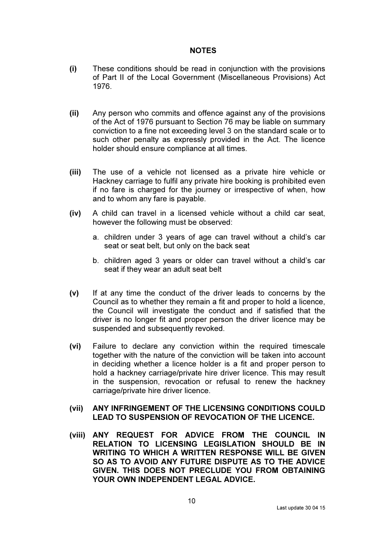### **NOTES**

- (i) These conditions should be read in conjunction with the provisions of Part II of the Local Government (Miscellaneous Provisions) Act 1976.
- (ii) Any person who commits and offence against any of the provisions of the Act of 1976 pursuant to Section 76 may be liable on summary conviction to a fine not exceeding level 3 on the standard scale or to such other penalty as expressly provided in the Act. The licence holder should ensure compliance at all times.
- (iii) The use of a vehicle not licensed as a private hire vehicle or Hackney carriage to fulfil any private hire booking is prohibited even if no fare is charged for the journey or irrespective of when, how and to whom any fare is payable.
- (iv) A child can travel in a licensed vehicle without a child car seat, however the following must be observed:
	- a. children under 3 years of age can travel without a child's car seat or seat belt, but only on the back seat
	- b. children aged 3 years or older can travel without a child's car seat if they wear an adult seat belt
- (v) If at any time the conduct of the driver leads to concerns by the Council as to whether they remain a fit and proper to hold a licence, the Council will investigate the conduct and if satisfied that the driver is no longer fit and proper person the driver licence may be suspended and subsequently revoked.
- (vi) Failure to declare any conviction within the required timescale together with the nature of the conviction will be taken into account in deciding whether a licence holder is a fit and proper person to hold a hackney carriage/private hire driver licence. This may result in the suspension, revocation or refusal to renew the hackney carriage/private hire driver licence.
- (vii) ANY INFRINGEMENT OF THE LICENSING CONDITIONS COULD LEAD TO SUSPENSION OF REVOCATION OF THE LICENCE.
- (viii) ANY REQUEST FOR ADVICE FROM THE COUNCIL IN RELATION TO LICENSING LEGISLATION SHOULD BE IN WRITING TO WHICH A WRITTEN RESPONSE WILL BE GIVEN SO AS TO AVOID ANY FUTURE DISPUTE AS TO THE ADVICE GIVEN. THIS DOES NOT PRECLUDE YOU FROM OBTAINING YOUR OWN INDEPENDENT LEGAL ADVICE.